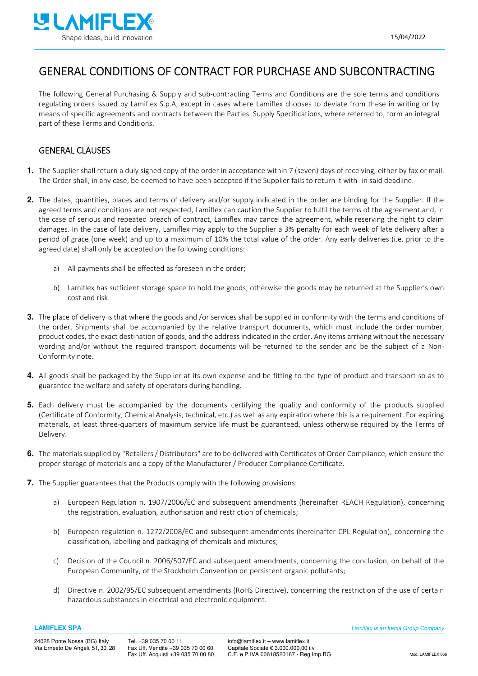

## GENERAL CONDITIONS OF CONTRACT FOR PURCHASE AND SUBCONTRACTING

The following General Purchasing & Supply and sub-contracting Terms and Conditions are the sole terms and conditions regulating orders issued by Lamiflex S.p.A, except in cases where Lamiflex chooses to deviate from these in writing or by means of specific agreements and contracts between the Parties. Supply Specifications, where referred to, form an integral part of these Terms and Conditions.

#### GENERAL CLAUSES

- **1.** The Supplier shall return a duly signed copy of the order in acceptance within 7 (seven) days of receiving, either by fax or mail. The Order shall, in any case, be deemed to have been accepted if the Supplier fails to return it with- in said deadline.
- **2.** The dates, quantities, places and terms of delivery and/or supply indicated in the order are binding for the Supplier. If the agreed terms and conditions are not respected, Lamiflex can caution the Supplier to fulfil the terms of the agreement and, in the case of serious and repeated breach of contract, Lamiflex may cancel the agreement, while reserving the right to claim damages. In the case of late delivery, Lamiflex may apply to the Supplier a 3% penalty for each week of late delivery after a period of grace (one week) and up to a maximum of 10% the total value of the order. Any early deliveries (i.e. prior to the agreed date) shall only be accepted on the following conditions:
	- a) All payments shall be effected as foreseen in the order;
	- b) Lamiflex has sufficient storage space to hold the goods, otherwise the goods may be returned at the Supplier's own cost and risk.
- **3.** The place of delivery is that where the goods and /or services shall be supplied in conformity with the terms and conditions of the order. Shipments shall be accompanied by the relative transport documents, which must include the order number, product codes, the exact destination of goods, and the address indicated in the order. Any items arriving without the necessary wording and/or without the required transport documents will be returned to the sender and be the subject of a Non-Conformity note.
- **4.** All goods shall be packaged by the Supplier at its own expense and be fitting to the type of product and transport so as to guarantee the welfare and safety of operators during handling.
- **5.** Each delivery must be accompanied by the documents certifying the quality and conformity of the products supplied (Certificate of Conformity, Chemical Analysis, technical, etc.) as well as any expiration where this is a requirement. For expiring materials, at least three-quarters of maximum service life must be guaranteed, unless otherwise required by the Terms of Delivery.
- **6.** The materials supplied by "Retailers / Distributors" are to be delivered with Certificates of Order Compliance, which ensure the proper storage of materials and a copy of the Manufacturer / Producer Compliance Certificate.
- **7.** The Supplier guarantees that the Products comply with the following provisions:
	- a) European Regulation n. 1907/2006/EC and subsequent amendments (hereinafter REACH Regulation), concerning the registration, evaluation, authorisation and restriction of chemicals;
	- b) European regulation n. 1272/2008/EC and subsequent amendments (hereinafter CPL Regulation), concerning the classification, labelling and packaging of chemicals and mixtures;
	- c) Decision of the Council n. 2006/507/EC and subsequent amendments, concerning the conclusion, on behalf of the European Community, of the Stockholm Convention on persistent organic pollutants;
	- d) Directive n. 2002/95/EC subsequent amendments (RoHS Directive), concerning the restriction of the use of certain hazardous substances in electrical and electronic equipment.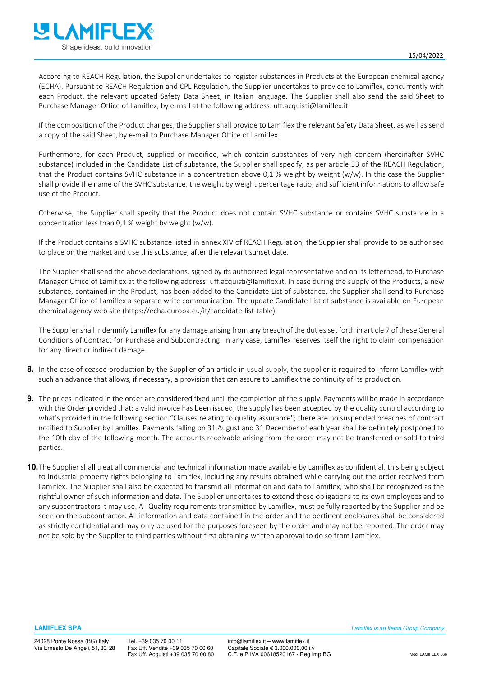

According to REACH Regulation, the Supplier undertakes to register substances in Products at the European chemical agency (ECHA). Pursuant to REACH Regulation and CPL Regulation, the Supplier undertakes to provide to Lamiflex, concurrently with each Product, the relevant updated Safety Data Sheet, in Italian language. The Supplier shall also send the said Sheet to Purchase Manager Office of Lamiflex, by e-mail at the following address: uff.acquisti@lamiflex.it.

If the composition of the Product changes, the Supplier shall provide to Lamiflex the relevant Safety Data Sheet, as well as send a copy of the said Sheet, by e-mail to Purchase Manager Office of Lamiflex.

Furthermore, for each Product, supplied or modified, which contain substances of very high concern (hereinafter SVHC substance) included in the Candidate List of substance, the Supplier shall specify, as per article 33 of the REACH Regulation, that the Product contains SVHC substance in a concentration above 0,1 % weight by weight (w/w). In this case the Supplier shall provide the name of the SVHC substance, the weight by weight percentage ratio, and sufficient informations to allow safe use of the Product.

Otherwise, the Supplier shall specify that the Product does not contain SVHC substance or contains SVHC substance in a concentration less than 0,1 % weight by weight (w/w).

If the Product contains a SVHC substance listed in annex XIV of REACH Regulation, the Supplier shall provide to be authorised to place on the market and use this substance, after the relevant sunset date.

The Supplier shall send the above declarations, signed by its authorized legal representative and on its letterhead, to Purchase Manager Office of Lamiflex at the following address: uff.acquisti@lamiflex.it. In case during the supply of the Products, a new substance, contained in the Product, has been added to the Candidate List of substance, the Supplier shall send to Purchase Manager Office of Lamiflex a separate write communication. The update Candidate List of substance is available on European chemical agency web site (https://echa.europa.eu/it/candidate-list-table).

The Supplier shall indemnify Lamiflex for any damage arising from any breach of the duties set forth in article 7 of these General Conditions of Contract for Purchase and Subcontracting. In any case, Lamiflex reserves itself the right to claim compensation for any direct or indirect damage.

- **8.** In the case of ceased production by the Supplier of an article in usual supply, the supplier is required to inform Lamiflex with such an advance that allows, if necessary, a provision that can assure to Lamiflex the continuity of its production.
- **9.** The prices indicated in the order are considered fixed until the completion of the supply. Payments will be made in accordance with the Order provided that: a valid invoice has been issued; the supply has been accepted by the quality control according to what's provided in the following section "Clauses relating to quality assurance"; there are no suspended breaches of contract notified to Supplier by Lamiflex. Payments falling on 31 August and 31 December of each year shall be definitely postponed to the 10th day of the following month. The accounts receivable arising from the order may not be transferred or sold to third parties.
- **10.** The Supplier shall treat all commercial and technical information made available by Lamiflex as confidential, this being subject to industrial property rights belonging to Lamiflex, including any results obtained while carrying out the order received from Lamiflex. The Supplier shall also be expected to transmit all information and data to Lamiflex, who shall be recognized as the rightful owner of such information and data. The Supplier undertakes to extend these obligations to its own employees and to any subcontractors it may use. All Quality requirements transmitted by Lamiflex, must be fully reported by the Supplier and be seen on the subcontractor. All information and data contained in the order and the pertinent enclosures shall be considered as strictly confidential and may only be used for the purposes foreseen by the order and may not be reported. The order may not be sold by the Supplier to third parties without first obtaining written approval to do so from Lamiflex.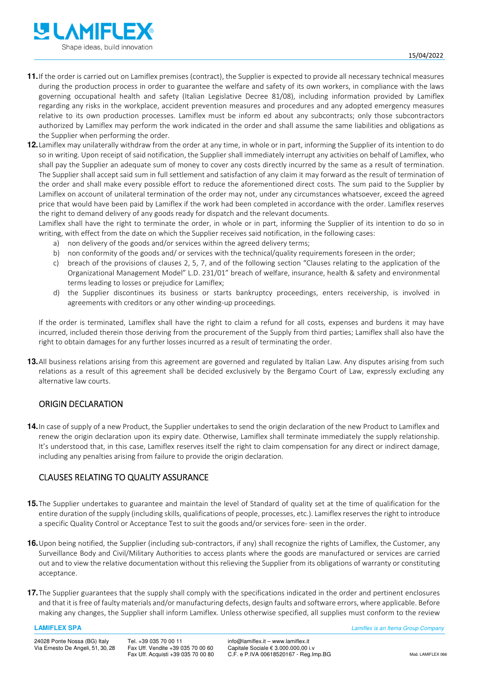

- **11.** If the order is carried out on Lamiflex premises (contract), the Supplier is expected to provide all necessary technical measures during the production process in order to guarantee the welfare and safety of its own workers, in compliance with the laws governing occupational health and safety (Italian Legislative Decree 81/08), including information provided by Lamiflex regarding any risks in the workplace, accident prevention measures and procedures and any adopted emergency measures relative to its own production processes. Lamiflex must be inform ed about any subcontracts; only those subcontractors authorized by Lamiflex may perform the work indicated in the order and shall assume the same liabilities and obligations as the Supplier when performing the order.
- **12.** Lamiflex may unilaterally withdraw from the order at any time, in whole or in part, informing the Supplier of its intention to do so in writing. Upon receipt of said notification, the Supplier shall immediately interrupt any activities on behalf of Lamiflex, who shall pay the Supplier an adequate sum of money to cover any costs directly incurred by the same as a result of termination. The Supplier shall accept said sum in full settlement and satisfaction of any claim it may forward as the result of termination of the order and shall make every possible effort to reduce the aforementioned direct costs. The sum paid to the Supplier by Lamiflex on account of unilateral termination of the order may not, under any circumstances whatsoever, exceed the agreed price that would have been paid by Lamiflex if the work had been completed in accordance with the order. Lamiflex reserves the right to demand delivery of any goods ready for dispatch and the relevant documents.

Lamiflex shall have the right to terminate the order, in whole or in part, informing the Supplier of its intention to do so in writing, with effect from the date on which the Supplier receives said notification, in the following cases:

- a) non delivery of the goods and/or services within the agreed delivery terms;
- b) non conformity of the goods and/ or services with the technical/quality requirements foreseen in the order;
- c) breach of the provisions of clauses 2, 5, 7, and of the following section "Clauses relating to the application of the Organizational Management Model" L.D. 231/01" breach of welfare, insurance, health & safety and environmental terms leading to losses or prejudice for Lamiflex;
- d) the Supplier discontinues its business or starts bankruptcy proceedings, enters receivership, is involved in agreements with creditors or any other winding-up proceedings.

If the order is terminated, Lamiflex shall have the right to claim a refund for all costs, expenses and burdens it may have incurred, included therein those deriving from the procurement of the Supply from third parties; Lamiflex shall also have the right to obtain damages for any further losses incurred as a result of terminating the order.

**13.** All business relations arising from this agreement are governed and regulated by Italian Law. Any disputes arising from such relations as a result of this agreement shall be decided exclusively by the Bergamo Court of Law, expressly excluding any alternative law courts.

#### ORIGIN DECLARATION

**14.** In case of supply of a new Product, the Supplier undertakes to send the origin declaration of the new Product to Lamiflex and renew the origin declaration upon its expiry date. Otherwise, Lamiflex shall terminate immediately the supply relationship. It's understood that, in this case, Lamiflex reserves itself the right to claim compensation for any direct or indirect damage, including any penalties arising from failure to provide the origin declaration.

## CLAUSES RELATING TO QUALITY ASSURANCE

- **15.** The Supplier undertakes to guarantee and maintain the level of Standard of quality set at the time of qualification for the entire duration of the supply (including skills, qualifications of people, processes, etc.). Lamiflex reserves the right to introduce a specific Quality Control or Acceptance Test to suit the goods and/or services fore- seen in the order.
- **16.** Upon being notified, the Supplier (including sub-contractors, if any) shall recognize the rights of Lamiflex, the Customer, any Surveillance Body and Civil/Military Authorities to access plants where the goods are manufactured or services are carried out and to view the relative documentation without this relieving the Supplier from its obligations of warranty or constituting acceptance.
- **17.** The Supplier guarantees that the supply shall comply with the specifications indicated in the order and pertinent enclosures and that it is free of faulty materials and/or manufacturing defects, design faults and software errors, where applicable. Before making any changes, the Supplier shall inform Lamiflex. Unless otherwise specified, all supplies must conform to the review

#### **LAMIFLEX SPA** Lamiflex is an Itema Group Company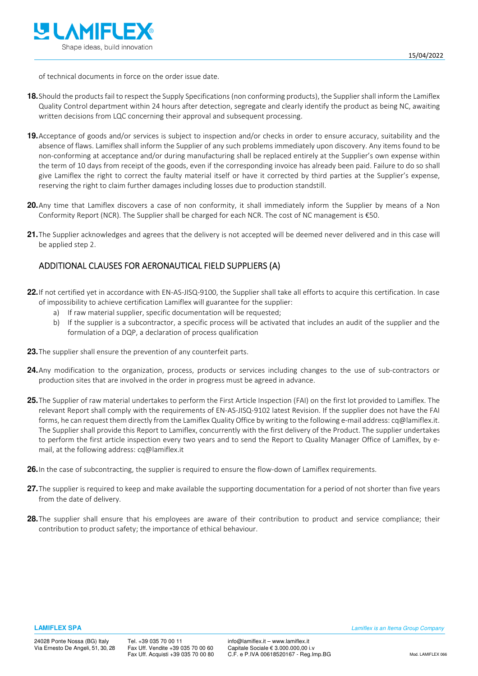

of technical documents in force on the order issue date.

- **18.** Should the products fail to respect the Supply Specifications (non conforming products), the Supplier shall inform the Lamiflex Quality Control department within 24 hours after detection, segregate and clearly identify the product as being NC, awaiting written decisions from LQC concerning their approval and subsequent processing.
- **19.** Acceptance of goods and/or services is subject to inspection and/or checks in order to ensure accuracy, suitability and the absence of flaws. Lamiflex shall inform the Supplier of any such problems immediately upon discovery. Any items found to be non-conforming at acceptance and/or during manufacturing shall be replaced entirely at the Supplier's own expense within the term of 10 days from receipt of the goods, even if the corresponding invoice has already been paid. Failure to do so shall give Lamiflex the right to correct the faulty material itself or have it corrected by third parties at the Supplier's expense, reserving the right to claim further damages including losses due to production standstill.
- **20.** Any time that Lamiflex discovers a case of non conformity, it shall immediately inform the Supplier by means of a Non Conformity Report (NCR). The Supplier shall be charged for each NCR. The cost of NC management is €50.
- **21.** The Supplier acknowledges and agrees that the delivery is not accepted will be deemed never delivered and in this case will be applied step 2.

### ADDITIONAL CLAUSES FOR AERONAUTICAL FIELD SUPPLIERS (A)

- **22.** If not certified yet in accordance with EN-AS-JISQ-9100, the Supplier shall take all efforts to acquire this certification. In case of impossibility to achieve certification Lamiflex will guarantee for the supplier:
	- a) If raw material supplier, specific documentation will be requested;
	- b) If the supplier is a subcontractor, a specific process will be activated that includes an audit of the supplier and the formulation of a DQP, a declaration of process qualification
- **23.** The supplier shall ensure the prevention of any counterfeit parts.
- **24.** Any modification to the organization, process, products or services including changes to the use of sub-contractors or production sites that are involved in the order in progress must be agreed in advance.
- **25.** The Supplier of raw material undertakes to perform the First Article Inspection (FAI) on the first lot provided to Lamiflex. The relevant Report shall comply with the requirements of EN-AS-JISQ-9102 latest Revision. If the supplier does not have the FAI forms, he can request them directly from the Lamiflex Quality Office by writing to the following e-mail address: cq@lamiflex.it. The Supplier shall provide this Report to Lamiflex, concurrently with the first delivery of the Product. The supplier undertakes to perform the first article inspection every two years and to send the Report to Quality Manager Office of Lamiflex, by email, at the following address: cq@lamiflex.it
- **26.** In the case of subcontracting, the supplier is required to ensure the flow-down of Lamiflex requirements.
- 27. The supplier is required to keep and make available the supporting documentation for a period of not shorter than five years from the date of delivery.
- **28.** The supplier shall ensure that his employees are aware of their contribution to product and service compliance; their contribution to product safety; the importance of ethical behaviour.

**LAMIFLEX SPA** Lamiflex is an Itema Group Company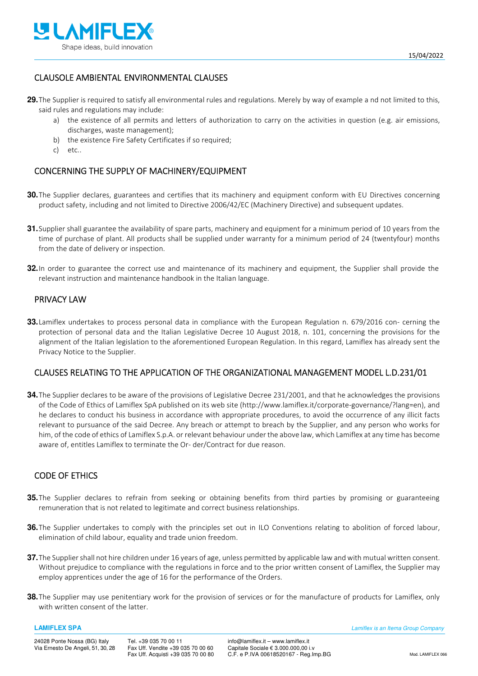

### CLAUSOLE AMBIENTAL ENVIRONMENTAL CLAUSES

**29.** The Supplier is required to satisfy all environmental rules and regulations. Merely by way of example a nd not limited to this, said rules and regulations may include:

- a) the existence of all permits and letters of authorization to carry on the activities in question (e.g. air emissions, discharges, waste management);
- b) the existence Fire Safety Certificates if so required;
- c) etc..

#### CONCERNING THE SUPPLY OF MACHINERY/EQUIPMENT

- **30.** The Supplier declares, guarantees and certifies that its machinery and equipment conform with EU Directives concerning product safety, including and not limited to Directive 2006/42/EC (Machinery Directive) and subsequent updates.
- **31.** Supplier shall guarantee the availability of spare parts, machinery and equipment for a minimum period of 10 years from the time of purchase of plant. All products shall be supplied under warranty for a minimum period of 24 (twentyfour) months from the date of delivery or inspection.
- **32.** In order to guarantee the correct use and maintenance of its machinery and equipment, the Supplier shall provide the relevant instruction and maintenance handbook in the Italian language.

#### PRIVACY LAW

**33.** Lamiflex undertakes to process personal data in compliance with the European Regulation n. 679/2016 con- cerning the protection of personal data and the Italian Legislative Decree 10 August 2018, n. 101, concerning the provisions for the alignment of the Italian legislation to the aforementioned European Regulation. In this regard, Lamiflex has already sent the Privacy Notice to the Supplier.

#### CLAUSES RELATING TO THE APPLICATION OF THE ORGANIZATIONAL MANAGEMENT MODEL L.D.231/01

**34.** The Supplier declares to be aware of the provisions of Legislative Decree 231/2001, and that he acknowledges the provisions of the Code of Ethics of Lamiflex SpA published on its web site (http://www.lamiflex.it/corporate-governance/?lang=en), and he declares to conduct his business in accordance with appropriate procedures, to avoid the occurrence of any illicit facts relevant to pursuance of the said Decree. Any breach or attempt to breach by the Supplier, and any person who works for him, of the code of ethics of Lamiflex S.p.A. or relevant behaviour under the above law, which Lamiflex at any time has become aware of, entitles Lamiflex to terminate the Or- der/Contract for due reason.

### CODE OF ETHICS

- **35.** The Supplier declares to refrain from seeking or obtaining benefits from third parties by promising or guaranteeing remuneration that is not related to legitimate and correct business relationships.
- **36.** The Supplier undertakes to comply with the principles set out in ILO Conventions relating to abolition of forced labour, elimination of child labour, equality and trade union freedom.
- **37.** The Supplier shall not hire children under 16 years of age, unless permitted by applicable law and with mutual written consent. Without prejudice to compliance with the regulations in force and to the prior written consent of Lamiflex, the Supplier may employ apprentices under the age of 16 for the performance of the Orders.
- **38.** The Supplier may use penitentiary work for the provision of services or for the manufacture of products for Lamiflex, only with written consent of the latter.